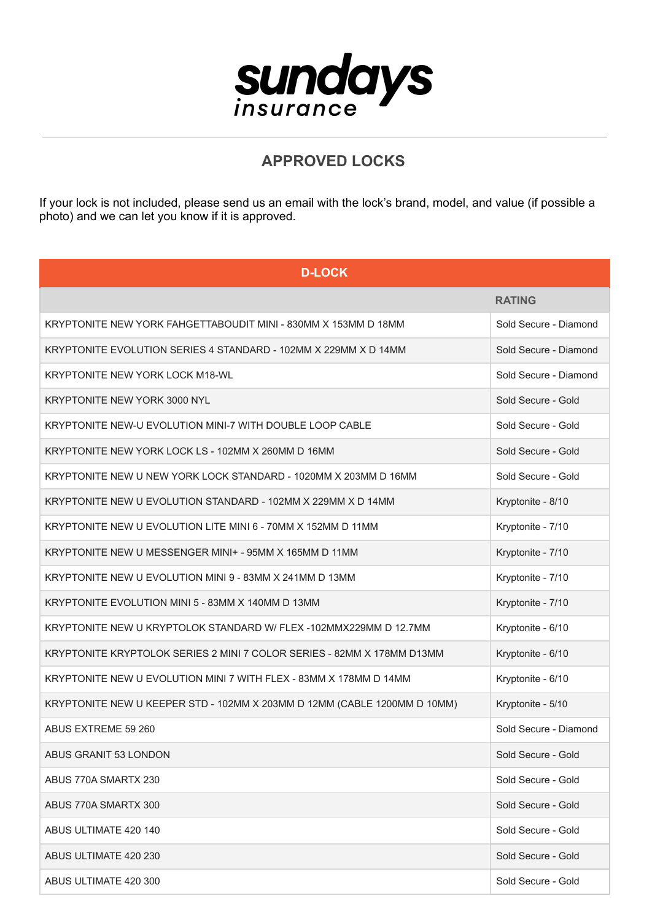

## **APPROVED LOCKS**

If your lock is not included, please send us an email with the lock's brand, model, and value (if possible a photo) and we can let you know if it is approved.

| <b>D-LOCK</b>                                                            |                       |
|--------------------------------------------------------------------------|-----------------------|
|                                                                          | <b>RATING</b>         |
| KRYPTONITE NEW YORK FAHGETTABOUDIT MINI - 830MM X 153MM D 18MM           | Sold Secure - Diamond |
| KRYPTONITE EVOLUTION SERIES 4 STANDARD - 102MM X 229MM X D 14MM          | Sold Secure - Diamond |
| KRYPTONITE NEW YORK LOCK M18-WL                                          | Sold Secure - Diamond |
| KRYPTONITE NEW YORK 3000 NYL                                             | Sold Secure - Gold    |
| KRYPTONITE NEW-U EVOLUTION MINI-7 WITH DOUBLE LOOP CABLE                 | Sold Secure - Gold    |
| KRYPTONITE NEW YORK LOCK LS - 102MM X 260MM D 16MM                       | Sold Secure - Gold    |
| KRYPTONITE NEW U NEW YORK LOCK STANDARD - 1020MM X 203MM D 16MM          | Sold Secure - Gold    |
| KRYPTONITE NEW U EVOLUTION STANDARD - 102MM X 229MM X D 14MM             | Kryptonite - 8/10     |
| KRYPTONITE NEW U EVOLUTION LITE MINI 6 - 70MM X 152MM D 11MM             | Kryptonite - 7/10     |
| KRYPTONITE NEW U MESSENGER MINI+ - 95MM X 165MM D 11MM                   | Kryptonite - 7/10     |
| KRYPTONITE NEW U EVOLUTION MINI 9 - 83MM X 241MM D 13MM                  | Kryptonite - 7/10     |
| KRYPTONITE EVOLUTION MINI 5 - 83MM X 140MM D 13MM                        | Kryptonite - 7/10     |
| KRYPTONITE NEW U KRYPTOLOK STANDARD W/ FLEX -102MMX229MM D 12.7MM        | Kryptonite - 6/10     |
| KRYPTONITE KRYPTOLOK SERIES 2 MINI 7 COLOR SERIES - 82MM X 178MM D13MM   | Kryptonite - 6/10     |
| KRYPTONITE NEW U EVOLUTION MINI 7 WITH FLEX - 83MM X 178MM D 14MM        | Kryptonite - 6/10     |
| KRYPTONITE NEW U KEEPER STD - 102MM X 203MM D 12MM (CABLE 1200MM D 10MM) | Kryptonite - 5/10     |
| ABUS EXTREME 59 260                                                      | Sold Secure - Diamond |
| ABUS GRANIT 53 LONDON                                                    | Sold Secure - Gold    |
| ABUS 770A SMARTX 230                                                     | Sold Secure - Gold    |
| ABUS 770A SMARTX 300                                                     | Sold Secure - Gold    |
| ABUS ULTIMATE 420 140                                                    | Sold Secure - Gold    |
| ABUS ULTIMATE 420 230                                                    | Sold Secure - Gold    |
| ABUS ULTIMATE 420 300                                                    | Sold Secure - Gold    |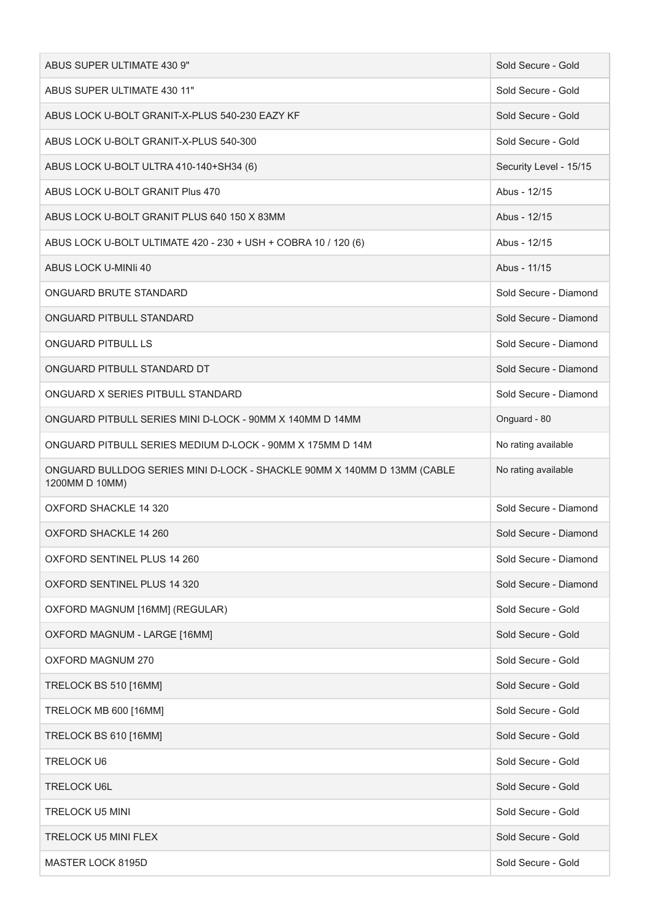| ABUS SUPER ULTIMATE 430 9"                                                                | Sold Secure - Gold     |
|-------------------------------------------------------------------------------------------|------------------------|
| ABUS SUPER ULTIMATE 430 11"                                                               | Sold Secure - Gold     |
| ABUS LOCK U-BOLT GRANIT-X-PLUS 540-230 EAZY KF                                            | Sold Secure - Gold     |
| ABUS LOCK U-BOLT GRANIT-X-PLUS 540-300                                                    | Sold Secure - Gold     |
| ABUS LOCK U-BOLT ULTRA 410-140+SH34 (6)                                                   | Security Level - 15/15 |
| ABUS LOCK U-BOLT GRANIT Plus 470                                                          | Abus - 12/15           |
| ABUS LOCK U-BOLT GRANIT PLUS 640 150 X 83MM                                               | Abus - 12/15           |
| ABUS LOCK U-BOLT ULTIMATE 420 - 230 + USH + COBRA 10 / 120 (6)                            | Abus - 12/15           |
| ABUS LOCK U-MINIi 40                                                                      | Abus - 11/15           |
| ONGUARD BRUTE STANDARD                                                                    | Sold Secure - Diamond  |
| ONGUARD PITBULL STANDARD                                                                  | Sold Secure - Diamond  |
| <b>ONGUARD PITBULL LS</b>                                                                 | Sold Secure - Diamond  |
| ONGUARD PITBULL STANDARD DT                                                               | Sold Secure - Diamond  |
| ONGUARD X SERIES PITBULL STANDARD                                                         | Sold Secure - Diamond  |
| ONGUARD PITBULL SERIES MINI D-LOCK - 90MM X 140MM D 14MM                                  | Onguard - 80           |
| ONGUARD PITBULL SERIES MEDIUM D-LOCK - 90MM X 175MM D 14M                                 | No rating available    |
| ONGUARD BULLDOG SERIES MINI D-LOCK - SHACKLE 90MM X 140MM D 13MM (CABLE<br>1200MM D 10MM) | No rating available    |
| <b>OXFORD SHACKLE 14 320</b>                                                              | Sold Secure - Diamond  |
| OXFORD SHACKLE 14 260                                                                     | Sold Secure - Diamond  |
| OXFORD SENTINEL PLUS 14 260                                                               | Sold Secure - Diamond  |
| OXFORD SENTINEL PLUS 14 320                                                               | Sold Secure - Diamond  |
| OXFORD MAGNUM [16MM] (REGULAR)                                                            | Sold Secure - Gold     |
| OXFORD MAGNUM - LARGE [16MM]                                                              | Sold Secure - Gold     |
| OXFORD MAGNUM 270                                                                         | Sold Secure - Gold     |
| TRELOCK BS 510 [16MM]                                                                     | Sold Secure - Gold     |
| TRELOCK MB 600 [16MM]                                                                     | Sold Secure - Gold     |
| TRELOCK BS 610 [16MM]                                                                     | Sold Secure - Gold     |
| <b>TRELOCK U6</b>                                                                         | Sold Secure - Gold     |
| <b>TRELOCK U6L</b>                                                                        | Sold Secure - Gold     |
| <b>TRELOCK U5 MINI</b>                                                                    |                        |
|                                                                                           | Sold Secure - Gold     |
| <b>TRELOCK U5 MINI FLEX</b>                                                               | Sold Secure - Gold     |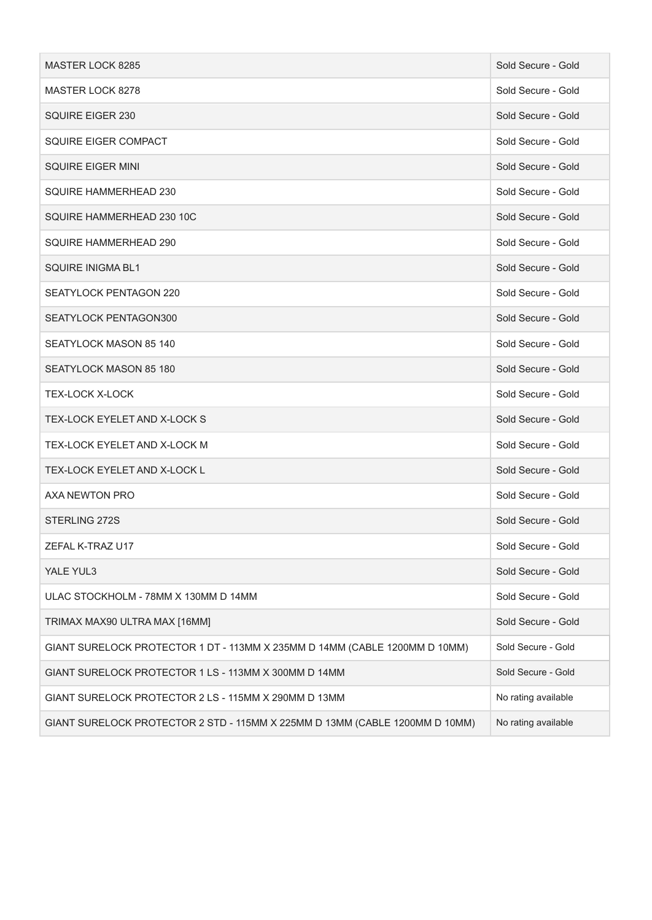| MASTER LOCK 8285                                                            | Sold Secure - Gold  |
|-----------------------------------------------------------------------------|---------------------|
| MASTER LOCK 8278                                                            | Sold Secure - Gold  |
| SQUIRE EIGER 230                                                            | Sold Secure - Gold  |
| <b>SQUIRE EIGER COMPACT</b>                                                 | Sold Secure - Gold  |
| <b>SQUIRE EIGER MINI</b>                                                    | Sold Secure - Gold  |
| SQUIRE HAMMERHEAD 230                                                       | Sold Secure - Gold  |
| SQUIRE HAMMERHEAD 230 10C                                                   | Sold Secure - Gold  |
| SQUIRE HAMMERHEAD 290                                                       | Sold Secure - Gold  |
| <b>SQUIRE INIGMA BL1</b>                                                    | Sold Secure - Gold  |
| SEATYLOCK PENTAGON 220                                                      | Sold Secure - Gold  |
| SEATYLOCK PENTAGON300                                                       | Sold Secure - Gold  |
| SEATYLOCK MASON 85 140                                                      | Sold Secure - Gold  |
| SEATYLOCK MASON 85 180                                                      | Sold Secure - Gold  |
| <b>TEX-LOCK X-LOCK</b>                                                      | Sold Secure - Gold  |
| TEX-LOCK EYELET AND X-LOCK S                                                | Sold Secure - Gold  |
| TEX-LOCK EYELET AND X-LOCK M                                                | Sold Secure - Gold  |
| TEX-LOCK EYELET AND X-LOCK L                                                | Sold Secure - Gold  |
| AXA NEWTON PRO                                                              | Sold Secure - Gold  |
| STERLING 272S                                                               | Sold Secure - Gold  |
| ZEFAL K-TRAZ U17                                                            | Sold Secure - Gold  |
| YALE YUL3                                                                   | Sold Secure - Gold  |
| ULAC STOCKHOLM - 78MM X 130MM D 14MM                                        | Sold Secure - Gold  |
| TRIMAX MAX90 ULTRA MAX [16MM]                                               | Sold Secure - Gold  |
| GIANT SURELOCK PROTECTOR 1 DT - 113MM X 235MM D 14MM (CABLE 1200MM D 10MM)  | Sold Secure - Gold  |
| GIANT SURELOCK PROTECTOR 1 LS - 113MM X 300MM D 14MM                        | Sold Secure - Gold  |
| GIANT SURELOCK PROTECTOR 2 LS - 115MM X 290MM D 13MM                        | No rating available |
| GIANT SURELOCK PROTECTOR 2 STD - 115MM X 225MM D 13MM (CABLE 1200MM D 10MM) | No rating available |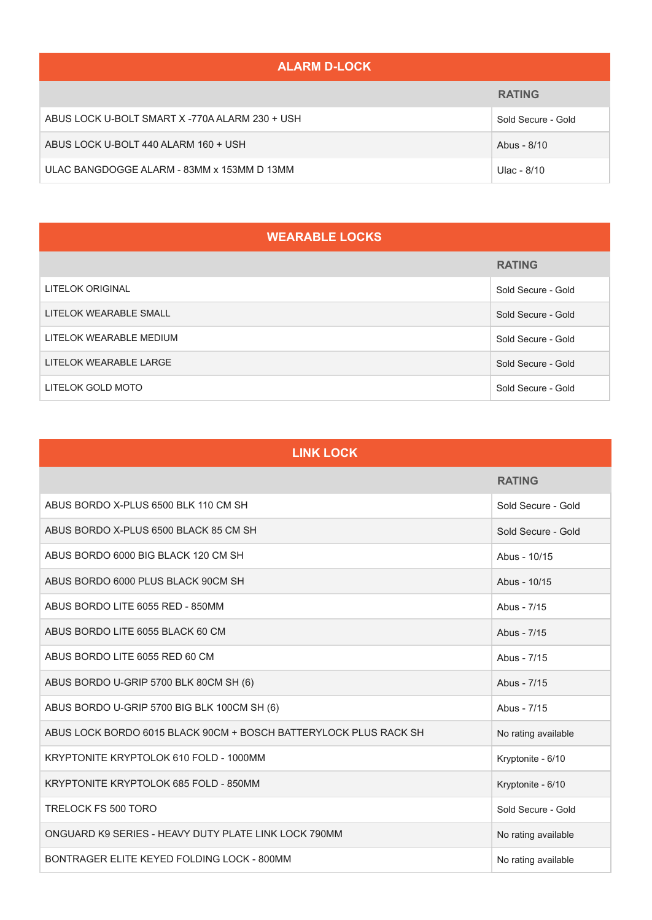#### **ALARM D-LOCK**

|                                                | <b>RATING</b>      |
|------------------------------------------------|--------------------|
| ABUS LOCK U-BOLT SMART X -770A ALARM 230 + USH | Sold Secure - Gold |
| ABUS LOCK U-BOLT 440 ALARM 160 + USH           | Abus - 8/10        |
| ULAC BANGDOGGE ALARM - 83MM x 153MM D 13MM     | Ulac - 8/10        |

### **WEARABLE LOCKS**

|                         | <b>RATING</b>      |
|-------------------------|--------------------|
| LITELOK ORIGINAL        | Sold Secure - Gold |
| LITELOK WEARABLE SMALL  | Sold Secure - Gold |
| LITELOK WEARABLE MEDIUM | Sold Secure - Gold |
| LITELOK WEARABLE LARGE  | Sold Secure - Gold |
| LITELOK GOLD MOTO       | Sold Secure - Gold |

| <b>LINK LOCK</b>                                                 |                     |
|------------------------------------------------------------------|---------------------|
|                                                                  | <b>RATING</b>       |
| ABUS BORDO X-PLUS 6500 BLK 110 CM SH                             | Sold Secure - Gold  |
| ABUS BORDO X-PLUS 6500 BLACK 85 CM SH                            | Sold Secure - Gold  |
| ABUS BORDO 6000 BIG BLACK 120 CM SH                              | Abus - 10/15        |
| ABUS BORDO 6000 PLUS BLACK 90CM SH                               | Abus - 10/15        |
| ABUS BORDO LITE 6055 RED - 850MM                                 | Abus - 7/15         |
| ABUS BORDO LITE 6055 BLACK 60 CM                                 | Abus - 7/15         |
| ABUS BORDO LITE 6055 RED 60 CM                                   | Abus - 7/15         |
| ABUS BORDO U-GRIP 5700 BLK 80CM SH (6)                           | Abus - 7/15         |
| ABUS BORDO U-GRIP 5700 BIG BLK 100CM SH (6)                      | Abus - 7/15         |
| ABUS LOCK BORDO 6015 BLACK 90CM + BOSCH BATTERYLOCK PLUS RACK SH | No rating available |
| KRYPTONITE KRYPTOLOK 610 FOLD - 1000MM                           | Kryptonite - 6/10   |
| KRYPTONITE KRYPTOLOK 685 FOLD - 850MM                            | Kryptonite - 6/10   |
| TRELOCK FS 500 TORO                                              | Sold Secure - Gold  |
| ONGUARD K9 SERIES - HEAVY DUTY PLATE LINK LOCK 790MM             | No rating available |
| BONTRAGER ELITE KEYED FOLDING LOCK - 800MM                       | No rating available |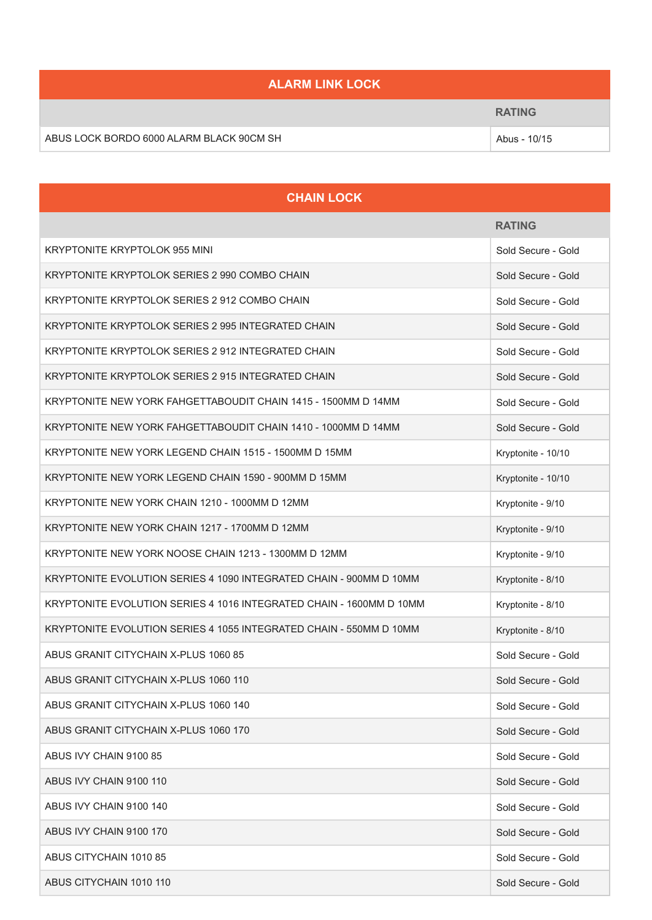# **ALARM LINK LOCK RATING** ABUS LOCK BORDO 6000 ALARM BLACK 90CM SH<br>Abus - 10/15

| <b>CHAIN LOCK</b>                                                   |                    |
|---------------------------------------------------------------------|--------------------|
|                                                                     | <b>RATING</b>      |
| KRYPTONITE KRYPTOLOK 955 MINI                                       | Sold Secure - Gold |
| KRYPTONITE KRYPTOLOK SERIES 2 990 COMBO CHAIN                       | Sold Secure - Gold |
| KRYPTONITE KRYPTOLOK SERIES 2 912 COMBO CHAIN                       | Sold Secure - Gold |
| KRYPTONITE KRYPTOLOK SERIES 2 995 INTEGRATED CHAIN                  | Sold Secure - Gold |
| KRYPTONITE KRYPTOLOK SERIES 2 912 INTEGRATED CHAIN                  | Sold Secure - Gold |
| KRYPTONITE KRYPTOLOK SERIES 2 915 INTEGRATED CHAIN                  | Sold Secure - Gold |
| KRYPTONITE NEW YORK FAHGETTABOUDIT CHAIN 1415 - 1500MM D 14MM       | Sold Secure - Gold |
| KRYPTONITE NEW YORK FAHGETTABOUDIT CHAIN 1410 - 1000MM D 14MM       | Sold Secure - Gold |
| KRYPTONITE NEW YORK LEGEND CHAIN 1515 - 1500MM D 15MM               | Kryptonite - 10/10 |
| KRYPTONITE NEW YORK LEGEND CHAIN 1590 - 900MM D 15MM                | Kryptonite - 10/10 |
| KRYPTONITE NEW YORK CHAIN 1210 - 1000MM D 12MM                      | Kryptonite - 9/10  |
| KRYPTONITE NEW YORK CHAIN 1217 - 1700MM D 12MM                      | Kryptonite - 9/10  |
| KRYPTONITE NEW YORK NOOSE CHAIN 1213 - 1300MM D 12MM                | Kryptonite - 9/10  |
| KRYPTONITE EVOLUTION SERIES 4 1090 INTEGRATED CHAIN - 900MM D 10MM  | Kryptonite - 8/10  |
| KRYPTONITE EVOLUTION SERIES 4 1016 INTEGRATED CHAIN - 1600MM D 10MM | Kryptonite - 8/10  |
| KRYPTONITE EVOLUTION SERIES 4 1055 INTEGRATED CHAIN - 550MM D 10MM  | Kryptonite - 8/10  |
| ABUS GRANIT CITYCHAIN X-PLUS 1060 85                                | Sold Secure - Gold |
| ABUS GRANIT CITYCHAIN X-PLUS 1060 110                               | Sold Secure - Gold |
| ABUS GRANIT CITYCHAIN X-PLUS 1060 140                               | Sold Secure - Gold |
| ABUS GRANIT CITYCHAIN X-PLUS 1060 170                               | Sold Secure - Gold |
| ABUS IVY CHAIN 9100 85                                              | Sold Secure - Gold |
| ABUS IVY CHAIN 9100 110                                             | Sold Secure - Gold |
| ABUS IVY CHAIN 9100 140                                             | Sold Secure - Gold |
| ABUS IVY CHAIN 9100 170                                             | Sold Secure - Gold |
| ABUS CITYCHAIN 1010 85                                              | Sold Secure - Gold |
| ABUS CITYCHAIN 1010 110                                             | Sold Secure - Gold |